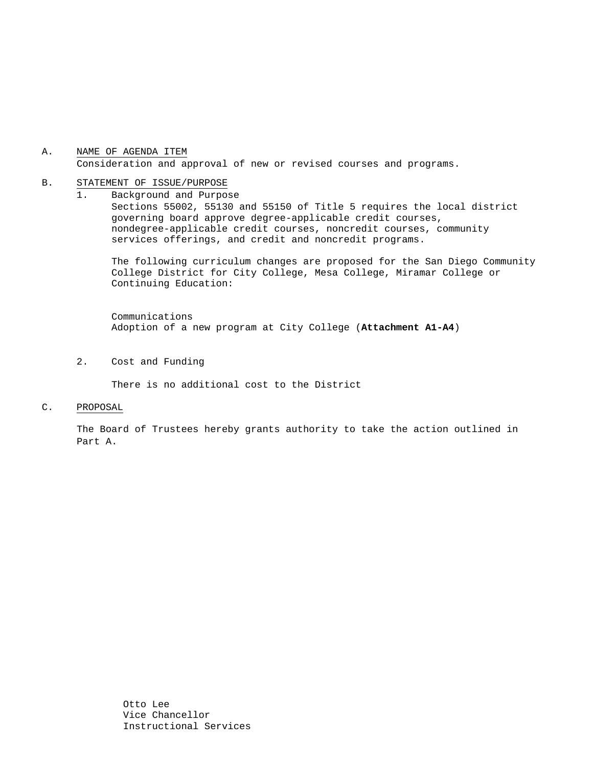### A. NAME OF AGENDA ITEM Consideration and approval of new or revised courses and programs.

#### B. STATEMENT OF ISSUE/PURPOSE

1. Background and Purpose Sections 55002, 55130 and 55150 of Title 5 requires the local district governing board approve degree-applicable credit courses, nondegree-applicable credit courses, noncredit courses, community services offerings, and credit and noncredit programs.

The following curriculum changes are proposed for the San Diego Community College District for City College, Mesa College, Miramar College or Continuing Education:

 Communications Adoption of a new program at City College (**Attachment A1-A4**)

2. Cost and Funding

There is no additional cost to the District

#### C. PROPOSAL

The Board of Trustees hereby grants authority to take the action outlined in Part A.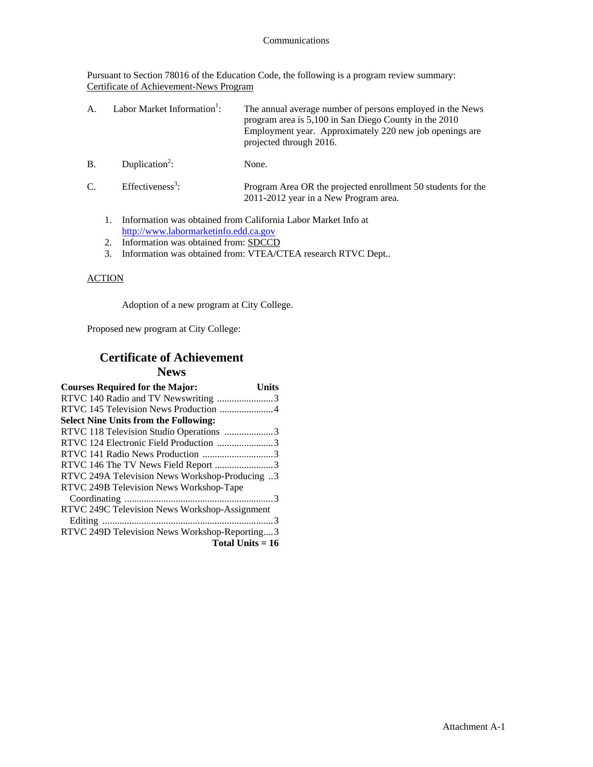Pursuant to Section 78016 of the Education Code, the following is a program review summary: Certificate of Achievement-News Program

| Labor Market Information <sup>1</sup> :<br>The annual average number of persons employed in the News<br>A.<br>program area is 5,100 in San Diego County in the 2010<br>Employment year. Approximately 220 new job openings are<br>projected through 2016. |
|-----------------------------------------------------------------------------------------------------------------------------------------------------------------------------------------------------------------------------------------------------------|
|-----------------------------------------------------------------------------------------------------------------------------------------------------------------------------------------------------------------------------------------------------------|

- $B.$  Duplication<sup>2</sup>: None.
- $C.$  Effectiveness<sup>3</sup>: : Program Area OR the projected enrollment 50 students for the 2011-2012 year in a New Program area.
	- 1. Information was obtained from California Labor Market Info at http://www.labormarketinfo.edd.ca.gov
	- 2. Information was obtained from: SDCCD
	- 3. Information was obtained from: VTEA/CTEA research RTVC Dept..

## **ACTION**

Adoption of a new program at City College.

Proposed new program at City College:

## **Certificate of Achievement News**

| <b>Courses Required for the Major:</b>         | Units |
|------------------------------------------------|-------|
| RTVC 140 Radio and TV Newswriting 3            |       |
| RTVC 145 Television News Production 4          |       |
| <b>Select Nine Units from the Following:</b>   |       |
| RTVC 118 Television Studio Operations 3        |       |
| RTVC 124 Electronic Field Production 3         |       |
|                                                |       |
| RTVC 146 The TV News Field Report 3            |       |
| RTVC 249A Television News Workshop-Producing 3 |       |
| RTVC 249B Television News Workshop-Tape        |       |
|                                                |       |
| RTVC 249C Television News Workshop-Assignment  |       |
|                                                |       |
| RTVC 249D Television News Workshop-Reporting3  |       |
| Total Units $= 16$                             |       |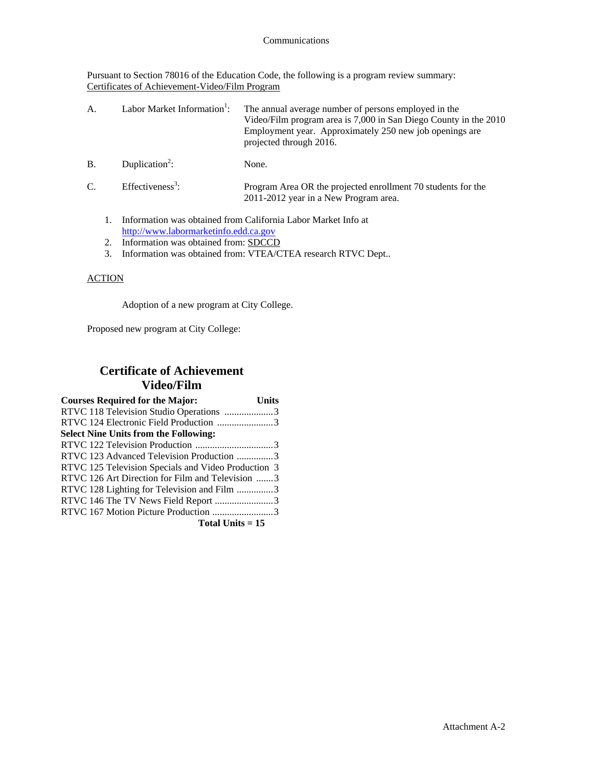Pursuant to Section 78016 of the Education Code, the following is a program review summary: Certificates of Achievement-Video/Film Program

| A.        | Labor Market Information <sup>1</sup> : | The annual average number of persons employed in the<br>Video/Film program area is 7,000 in San Diego County in the 2010<br>Employment year. Approximately 250 new job openings are<br>projected through 2016. |
|-----------|-----------------------------------------|----------------------------------------------------------------------------------------------------------------------------------------------------------------------------------------------------------------|
| <b>B.</b> | Duplication <sup>2</sup> :              | None.                                                                                                                                                                                                          |

- $C.$  Effectiveness<sup>3</sup>: : Program Area OR the projected enrollment 70 students for the 2011-2012 year in a New Program area.
	- 1. Information was obtained from California Labor Market Info at http://www.labormarketinfo.edd.ca.gov
	- 2. Information was obtained from: SDCCD
	- 3. Information was obtained from: VTEA/CTEA research RTVC Dept..

## **ACTION**

Adoption of a new program at City College.

Proposed new program at City College:

# **Certificate of Achievement Video/Film**

| <b>Courses Required for the Major:</b>              | Units |
|-----------------------------------------------------|-------|
| RTVC 118 Television Studio Operations 3             |       |
| RTVC 124 Electronic Field Production 3              |       |
| <b>Select Nine Units from the Following:</b>        |       |
|                                                     |       |
| RTVC 123 Advanced Television Production 3           |       |
| RTVC 125 Television Specials and Video Production 3 |       |
| RTVC 126 Art Direction for Film and Television 3    |       |
| RTVC 128 Lighting for Television and Film 3         |       |
| RTVC 146 The TV News Field Report 3                 |       |
| RTVC 167 Motion Picture Production 3                |       |
| Total Units $= 15$                                  |       |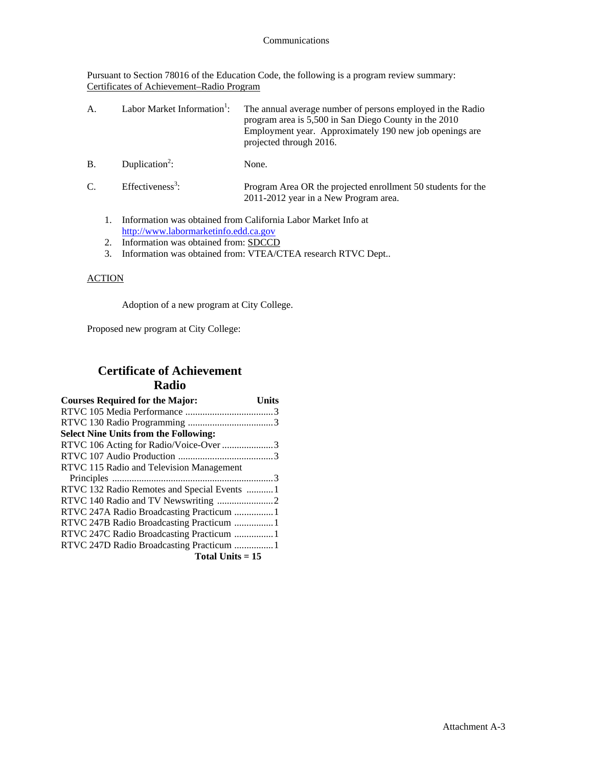Pursuant to Section 78016 of the Education Code, the following is a program review summary: Certificates of Achievement–Radio Program

| А. | Labor Market Information <sup>1</sup> : | The annual average number of persons employed in the Radio<br>program area is 5,500 in San Diego County in the 2010<br>Employment year. Approximately 190 new job openings are<br>projected through 2016. |
|----|-----------------------------------------|-----------------------------------------------------------------------------------------------------------------------------------------------------------------------------------------------------------|
| B. | Duplication <sup>2</sup> :              | None.                                                                                                                                                                                                     |

| $\sim$<br>Ć. | Effectiveness <sup>3</sup> : | Program Area OR the projected enrollment 50 students for the |
|--------------|------------------------------|--------------------------------------------------------------|
|              |                              | 2011-2012 year in a New Program area.                        |

- 1. Information was obtained from California Labor Market Info at http://www.labormarketinfo.edd.ca.gov
- 2. Information was obtained from: SDCCD
- 3. Information was obtained from: VTEA/CTEA research RTVC Dept..

### **ACTION**

Adoption of a new program at City College.

Proposed new program at City College:

## **Certificate of Achievement Radio**

| <b>Courses Required for the Major:</b>       | Units |
|----------------------------------------------|-------|
|                                              |       |
|                                              |       |
| <b>Select Nine Units from the Following:</b> |       |
| RTVC 106 Acting for Radio/Voice-Over 3       |       |
|                                              |       |
| RTVC 115 Radio and Television Management     |       |
|                                              |       |
| RTVC 132 Radio Remotes and Special Events  1 |       |
|                                              |       |
| RTVC 247A Radio Broadcasting Practicum 1     |       |
| RTVC 247B Radio Broadcasting Practicum 1     |       |
| RTVC 247C Radio Broadcasting Practicum  1    |       |
| RTVC 247D Radio Broadcasting Practicum  1    |       |
| Total Units $= 15$                           |       |